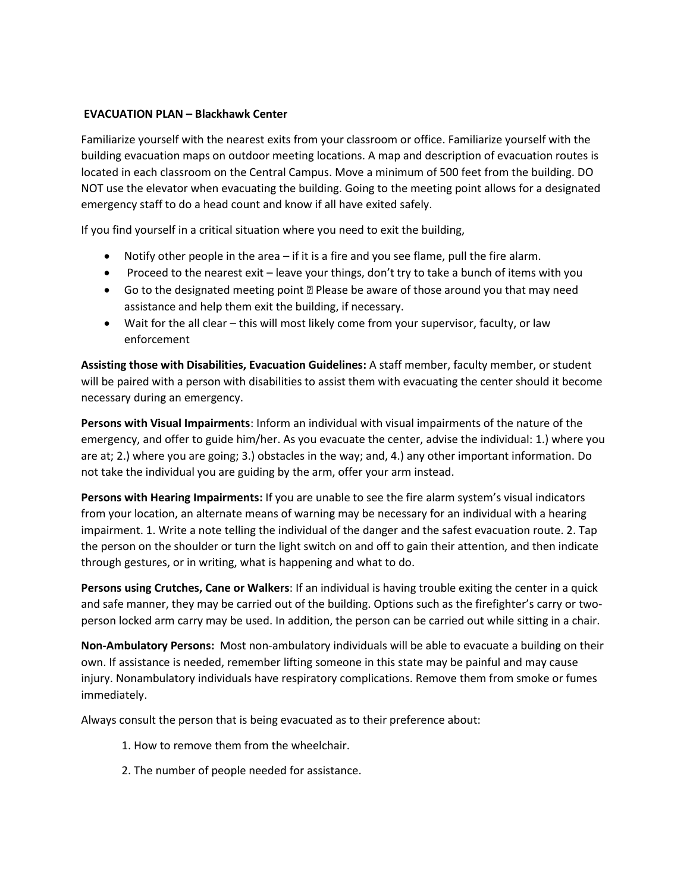## **EVACUATION PLAN – Blackhawk Center**

Familiarize yourself with the nearest exits from your classroom or office. Familiarize yourself with the building evacuation maps on outdoor meeting locations. A map and description of evacuation routes is located in each classroom on the Central Campus. Move a minimum of 500 feet from the building. DO NOT use the elevator when evacuating the building. Going to the meeting point allows for a designated emergency staff to do a head count and know if all have exited safely.

If you find yourself in a critical situation where you need to exit the building,

- Notify other people in the area if it is a fire and you see flame, pull the fire alarm.
- Proceed to the nearest exit leave your things, don't try to take a bunch of items with you
- Go to the designated meeting point Please be aware of those around you that may need assistance and help them exit the building, if necessary.
- Wait for the all clear this will most likely come from your supervisor, faculty, or law enforcement

**Assisting those with Disabilities, Evacuation Guidelines:** A staff member, faculty member, or student will be paired with a person with disabilities to assist them with evacuating the center should it become necessary during an emergency.

**Persons with Visual Impairments**: Inform an individual with visual impairments of the nature of the emergency, and offer to guide him/her. As you evacuate the center, advise the individual: 1.) where you are at; 2.) where you are going; 3.) obstacles in the way; and, 4.) any other important information. Do not take the individual you are guiding by the arm, offer your arm instead.

**Persons with Hearing Impairments:** If you are unable to see the fire alarm system's visual indicators from your location, an alternate means of warning may be necessary for an individual with a hearing impairment. 1. Write a note telling the individual of the danger and the safest evacuation route. 2. Tap the person on the shoulder or turn the light switch on and off to gain their attention, and then indicate through gestures, or in writing, what is happening and what to do.

**Persons using Crutches, Cane or Walkers**: If an individual is having trouble exiting the center in a quick and safe manner, they may be carried out of the building. Options such as the firefighter's carry or twoperson locked arm carry may be used. In addition, the person can be carried out while sitting in a chair.

**Non-Ambulatory Persons:** Most non-ambulatory individuals will be able to evacuate a building on their own. If assistance is needed, remember lifting someone in this state may be painful and may cause injury. Nonambulatory individuals have respiratory complications. Remove them from smoke or fumes immediately.

Always consult the person that is being evacuated as to their preference about:

- 1. How to remove them from the wheelchair.
- 2. The number of people needed for assistance.